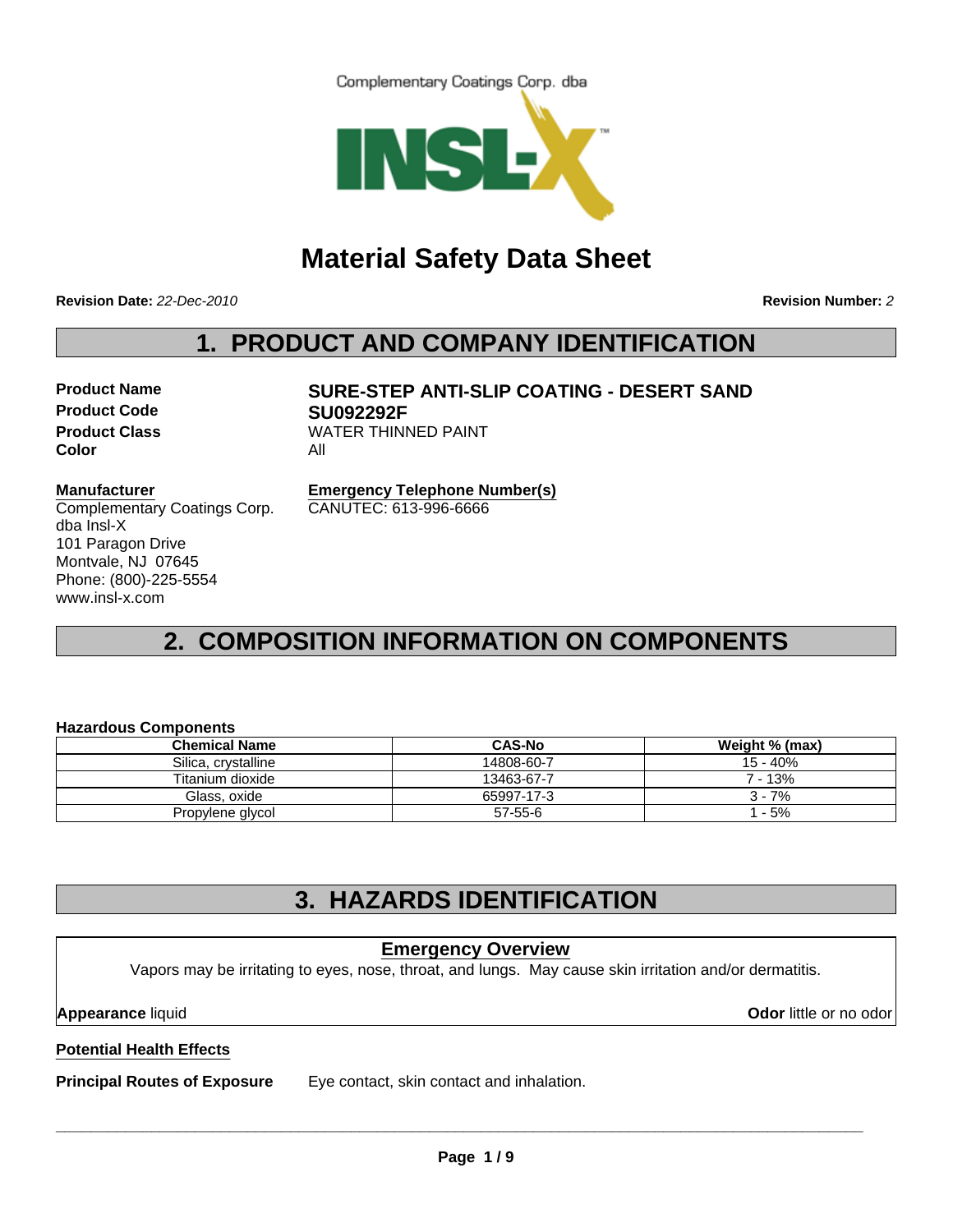Complementary Coatings Corp. dba



# **Material Safety Data Sheet**

**Revision Date:** *22-Dec-2010*

**Revision Number:** *2*

## **1. PRODUCT AND COMPANY IDENTIFICATION**

**Product Code SU092292F Color** All

# **Product Name SURE-STEP ANTI-SLIP COATING - DESERT SAND Product Class WATER THINNED PAINT**

#### **Manufacturer**

Complementary Coatings Corp. dba Insl-X 101 Paragon Drive Montvale, NJ 07645 Phone: (800)-225-5554 www.insl-x.com

**Emergency Telephone Number(s)** CANUTEC: 613-996-6666

# **2. COMPOSITION INFORMATION ON COMPONENTS**

#### **Hazardous Components**

| <b>Chemical Name</b> | <b>CAS-No</b> | Weight % (max) |
|----------------------|---------------|----------------|
| Silica, crystalline  | 14808-60-7    | 15 - 40%       |
| Titanium dioxide     | 13463-67-7    | $7 - 13%$      |
| Glass, oxide         | 65997-17-3    | $3 - 7%$       |
| Propylene glycol     | 57-55-6       | 1 - 5%         |

# **3. HAZARDS IDENTIFICATION**

# **Potential Health Effects Principal Routes of Exposure** Eye contact, skin contact and inhalation. **Emergency Overview** Vapors may be irritating to eyes, nose, throat, and lungs. May cause skin irritation and/or dermatitis. **Appearance** liquid **Odor** little or no odor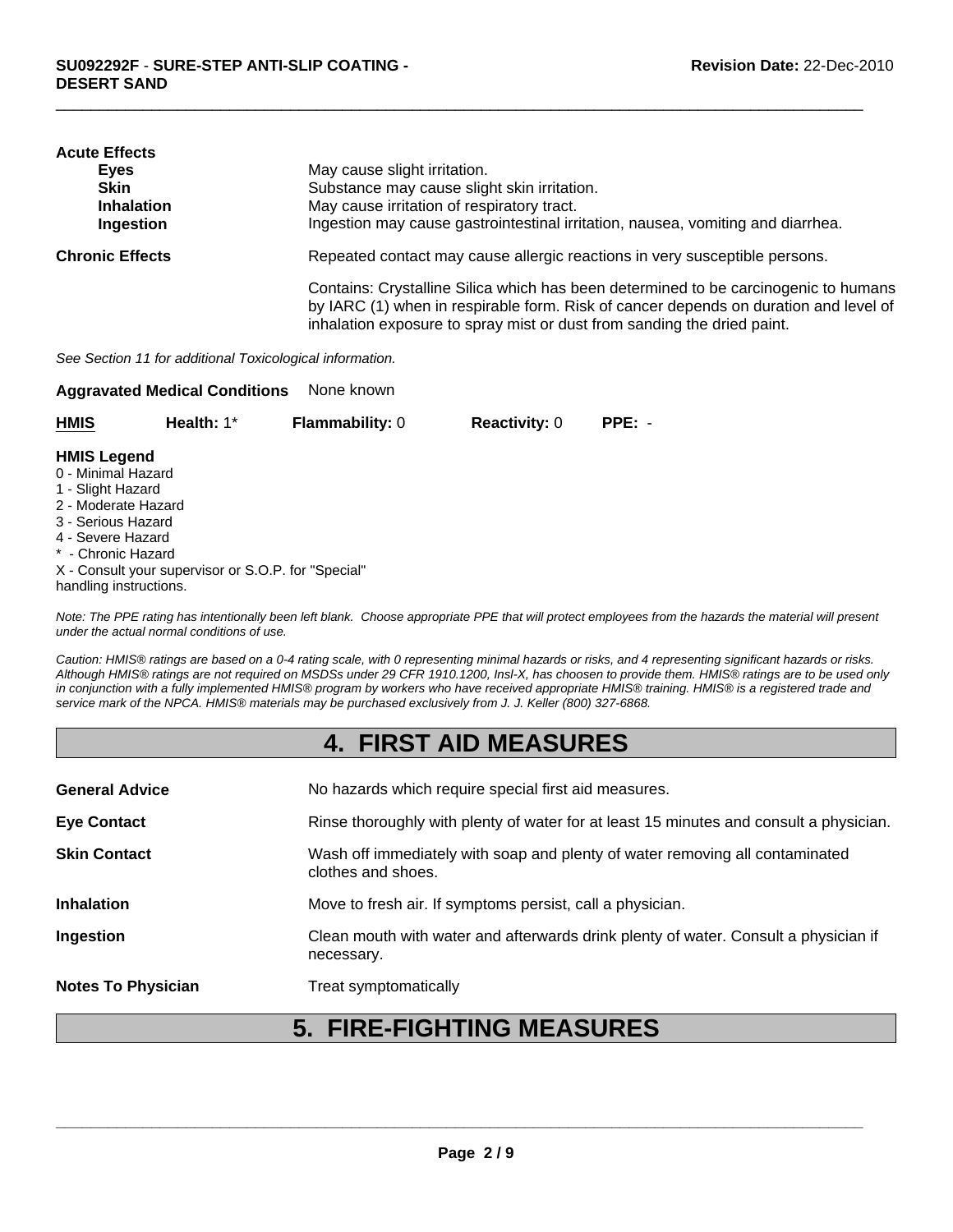| <b>Acute Effects</b>   |                                                                                                                                                                             |
|------------------------|-----------------------------------------------------------------------------------------------------------------------------------------------------------------------------|
| Eyes                   | May cause slight irritation.                                                                                                                                                |
| <b>Skin</b>            | Substance may cause slight skin irritation.                                                                                                                                 |
| <b>Inhalation</b>      | May cause irritation of respiratory tract.                                                                                                                                  |
| Ingestion              | Ingestion may cause gastrointestinal irritation, nausea, vomiting and diarrhea.                                                                                             |
| <b>Chronic Effects</b> | Repeated contact may cause allergic reactions in very susceptible persons.                                                                                                  |
|                        | Contains: Crystalline Silica which has been determined to be carcinogenic to humans<br>by IARC (1) when in respirable form. Risk of cancer depends on duration and level of |
|                        | inhalation exposure to spray mist or dust from sanding the dried paint.                                                                                                     |

 $\Box$ 

*See Section 11 for additional Toxicological information.*

| None known<br><b>Aggravated Medical Conditions</b>                                                                                                                              |                                                     |                        |                      |          |
|---------------------------------------------------------------------------------------------------------------------------------------------------------------------------------|-----------------------------------------------------|------------------------|----------------------|----------|
| <b>HMIS</b>                                                                                                                                                                     | Health: $1^*$                                       | <b>Flammability: 0</b> | <b>Reactivity: 0</b> | $PPE: -$ |
| <b>HMIS Legend</b><br>0 - Minimal Hazard<br>1 - Slight Hazard<br>2 - Moderate Hazard<br>3 - Serious Hazard<br>4 - Severe Hazard<br>* - Chronic Hazard<br>handling instructions. | X - Consult your supervisor or S.O.P. for "Special" |                        |                      |          |

*Note: The PPE rating has intentionally been left blank. Choose appropriate PPE that will protect employees from the hazards the material will present under the actual normal conditions of use.*

*Caution: HMIS® ratings are based on a 0-4 rating scale, with 0 representing minimal hazards or risks, and 4 representing significant hazards or risks. Although HMIS® ratings are not required on MSDSs under 29 CFR 1910.1200, Insl-X, has choosen to provide them. HMIS® ratings are to be used only in conjunction with a fully implemented HMIS® program by workers who have received appropriate HMIS® training. HMIS® is a registered trade and service mark of the NPCA. HMIS® materials may be purchased exclusively from J. J. Keller (800) 327-6868.*

### **4. FIRST AID MEASURES**

| <b>General Advice</b>     | No hazards which require special first aid measures.                                               |
|---------------------------|----------------------------------------------------------------------------------------------------|
| <b>Eye Contact</b>        | Rinse thoroughly with plenty of water for at least 15 minutes and consult a physician.             |
| <b>Skin Contact</b>       | Wash off immediately with soap and plenty of water removing all contaminated<br>clothes and shoes. |
| <b>Inhalation</b>         | Move to fresh air. If symptoms persist, call a physician.                                          |
| Ingestion                 | Clean mouth with water and afterwards drink plenty of water. Consult a physician if<br>necessary.  |
| <b>Notes To Physician</b> | Treat symptomatically                                                                              |

# **5. FIRE-FIGHTING MEASURES**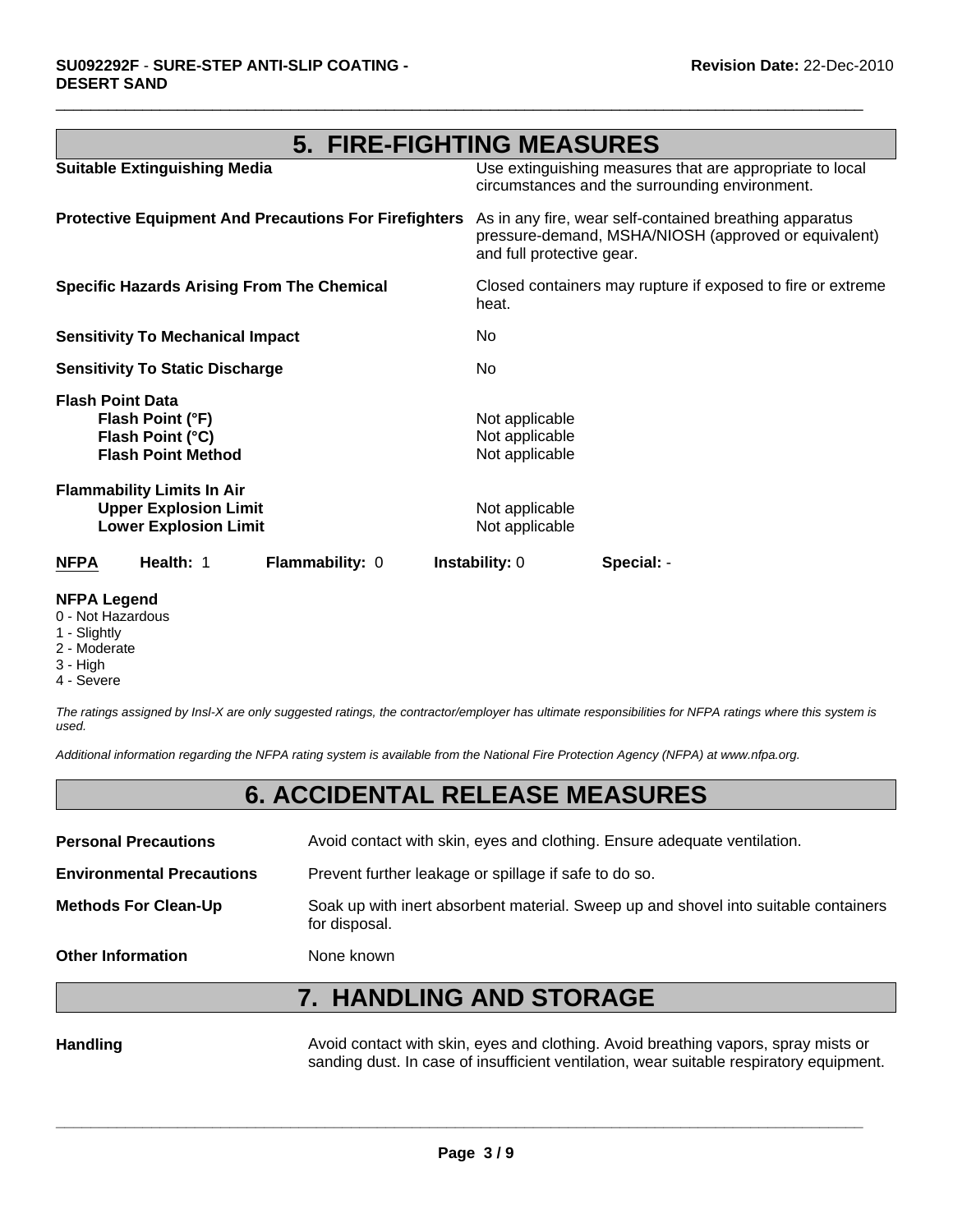### **5. FIRE-FIGHTING MEASURES**

 $\Box$ 

| <b>NFPA</b>             | Health: 1                                                                                         | Flammability: 0                                              | <b>Instability: 0</b>                              | Special: -                                                                                                      |
|-------------------------|---------------------------------------------------------------------------------------------------|--------------------------------------------------------------|----------------------------------------------------|-----------------------------------------------------------------------------------------------------------------|
|                         | <b>Flammability Limits In Air</b><br><b>Upper Explosion Limit</b><br><b>Lower Explosion Limit</b> |                                                              | Not applicable<br>Not applicable                   |                                                                                                                 |
| <b>Flash Point Data</b> | Flash Point (°F)<br>Flash Point (°C)<br><b>Flash Point Method</b>                                 |                                                              | Not applicable<br>Not applicable<br>Not applicable |                                                                                                                 |
|                         | <b>Sensitivity To Static Discharge</b>                                                            |                                                              | No.                                                |                                                                                                                 |
|                         | <b>Sensitivity To Mechanical Impact</b>                                                           |                                                              | No.                                                |                                                                                                                 |
|                         |                                                                                                   | <b>Specific Hazards Arising From The Chemical</b>            | heat.                                              | Closed containers may rupture if exposed to fire or extreme                                                     |
|                         |                                                                                                   | <b>Protective Equipment And Precautions For Firefighters</b> | and full protective gear.                          | As in any fire, wear self-contained breathing apparatus<br>pressure-demand, MSHA/NIOSH (approved or equivalent) |
|                         | <b>Suitable Extinguishing Media</b>                                                               |                                                              |                                                    | Use extinguishing measures that are appropriate to local<br>circumstances and the surrounding environment.      |

#### **NFPA Legend**

- 0 Not Hazardous
- 1 Slightly
- 2 Moderate
- 3 High
- 4 Severe

*The ratings assigned by Insl-X are only suggested ratings, the contractor/employer has ultimate responsibilities for NFPA ratings where this system is used.*

*Additional information regarding the NFPA rating system is available from the National Fire Protection Agency (NFPA) at www.nfpa.org.*

### **6. ACCIDENTAL RELEASE MEASURES**

| <b>Personal Precautions</b>      | Avoid contact with skin, eyes and clothing. Ensure adequate ventilation.                             |
|----------------------------------|------------------------------------------------------------------------------------------------------|
| <b>Environmental Precautions</b> | Prevent further leakage or spillage if safe to do so.                                                |
| <b>Methods For Clean-Up</b>      | Soak up with inert absorbent material. Sweep up and shovel into suitable containers<br>for disposal. |
| <b>Other Information</b>         | None known                                                                                           |

# **7. HANDLING AND STORAGE**

Handling **Handling** Avoid contact with skin, eyes and clothing. Avoid breathing vapors, spray mists or sanding dust. In case of insufficient ventilation, wear suitable respiratory equipment.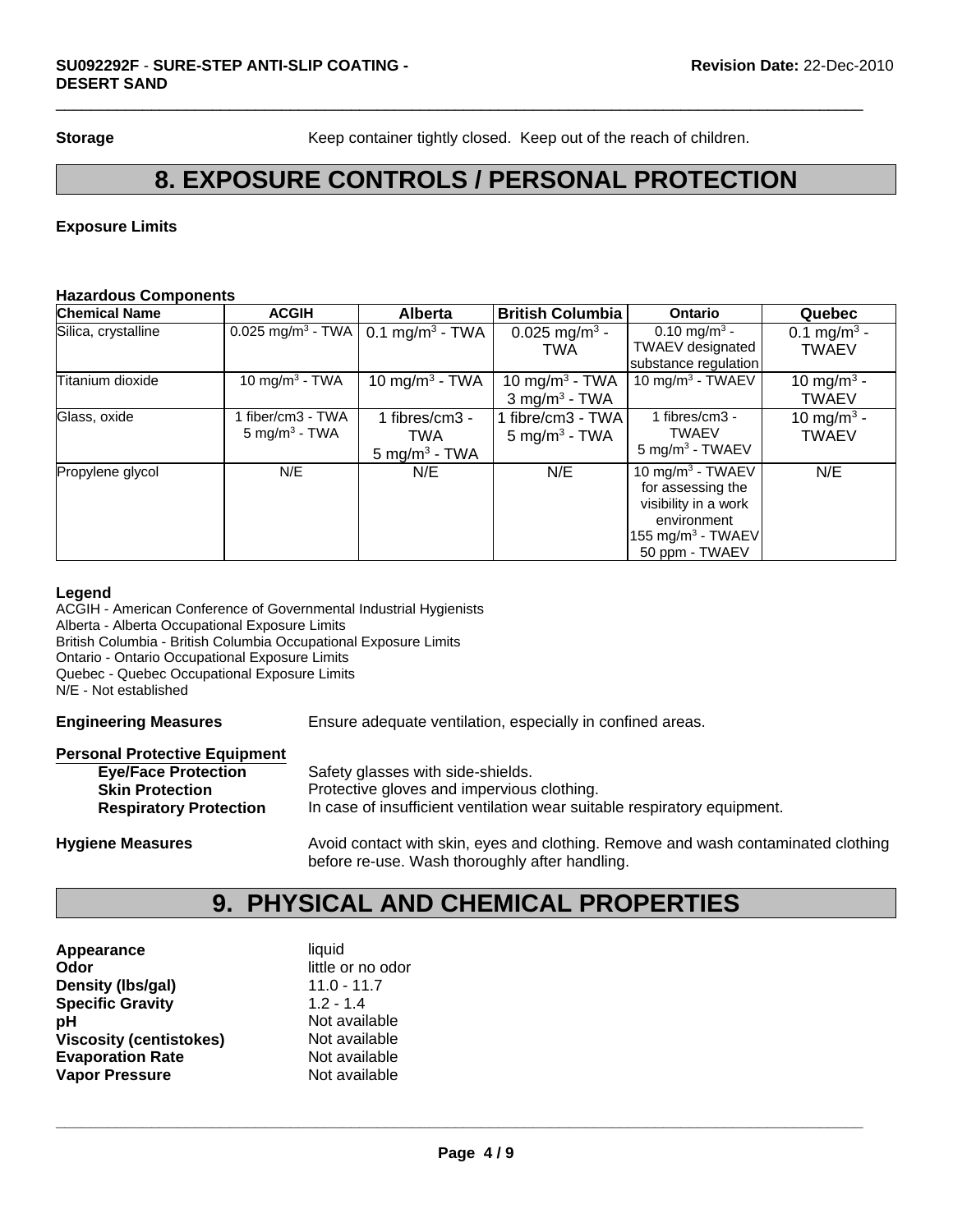**Storage** Keep container tightly closed. Keep out of the reach of children.

### **8. EXPOSURE CONTROLS / PERSONAL PROTECTION**

 $\Box$ 

### **Exposure Limits**

#### **Hazardous Components**

| <b>Chemical Name</b> | <b>ACGIH</b>                                | <b>Alberta</b>                                    | <b>British Columbia</b>                                   | <b>Ontario</b>                                                                                                                     | Quebec                                  |
|----------------------|---------------------------------------------|---------------------------------------------------|-----------------------------------------------------------|------------------------------------------------------------------------------------------------------------------------------------|-----------------------------------------|
| Silica, crystalline  | $0.025$ mg/m <sup>3</sup> - TWA             | $0.1 \text{ mg/m}^3$ - TWA                        | 0.025 mg/m <sup>3</sup> -<br><b>TWA</b>                   | 0.10 mg/m <sup>3</sup> -<br><b>TWAEV</b> designated<br>substance regulation                                                        | 0.1 mg/m <sup>3</sup> -<br><b>TWAEV</b> |
| Titanium dioxide     | 10 mg/m <sup>3</sup> - TWA                  | 10 mg/m <sup>3</sup> - TWA                        | 10 mg/m <sup>3</sup> - TWA<br>$3$ mg/m <sup>3</sup> - TWA | 10 mg/m $3$ - TWAEV                                                                                                                | 10 mg/m <sup>3</sup> -<br><b>TWAEV</b>  |
| Glass, oxide         | fiber/cm3 - TWA<br>$5 \text{ mg/m}^3$ - TWA | 1 fibres/cm3 -<br>TWA<br>$5 \text{ mg/m}^3$ - TWA | 1 fibre/cm3 - TWA  <br>$5 \text{ mg/m}^3$ - TWA           | 1 fibres/cm3 -<br><b>TWAEV</b><br>$5 \text{ mg/m}^3$ - TWAEV                                                                       | 10 mg/m <sup>3</sup> -<br><b>TWAEV</b>  |
| Propylene glycol     | N/E                                         | N/E                                               | N/E                                                       | 10 mg/m $3$ - TWAEV<br>for assessing the<br>visibility in a work<br>environment<br>155 mg/m <sup>3</sup> - TWAEV<br>50 ppm - TWAEV | N/E                                     |

#### **Legend**

ACGIH - American Conference of Governmental Industrial Hygienists Alberta - Alberta Occupational Exposure Limits British Columbia - British Columbia Occupational Exposure Limits Ontario - Ontario Occupational Exposure Limits Quebec - Quebec Occupational Exposure Limits N/E - Not established

**Engineering Measures** Ensure adequate ventilation, especially in confined areas.

#### **Personal Protective Equipment**

| <b>Eye/Face Protection</b>    | Safety glasses with side-shields.                                                                                                   |
|-------------------------------|-------------------------------------------------------------------------------------------------------------------------------------|
| <b>Skin Protection</b>        | Protective gloves and impervious clothing.                                                                                          |
| <b>Respiratory Protection</b> | In case of insufficient ventilation wear suitable respiratory equipment.                                                            |
| <b>Hygiene Measures</b>       | Avoid contact with skin, eyes and clothing. Remove and wash contaminated clothing<br>before re-use. Wash thoroughly after handling. |

# **9. PHYSICAL AND CHEMICAL PROPERTIES**

| liquid            |
|-------------------|
| little or no odor |
| $11.0 - 11.7$     |
| $1.2 - 1.4$       |
| Not available     |
| Not available     |
| Not available     |
| Not available     |
|                   |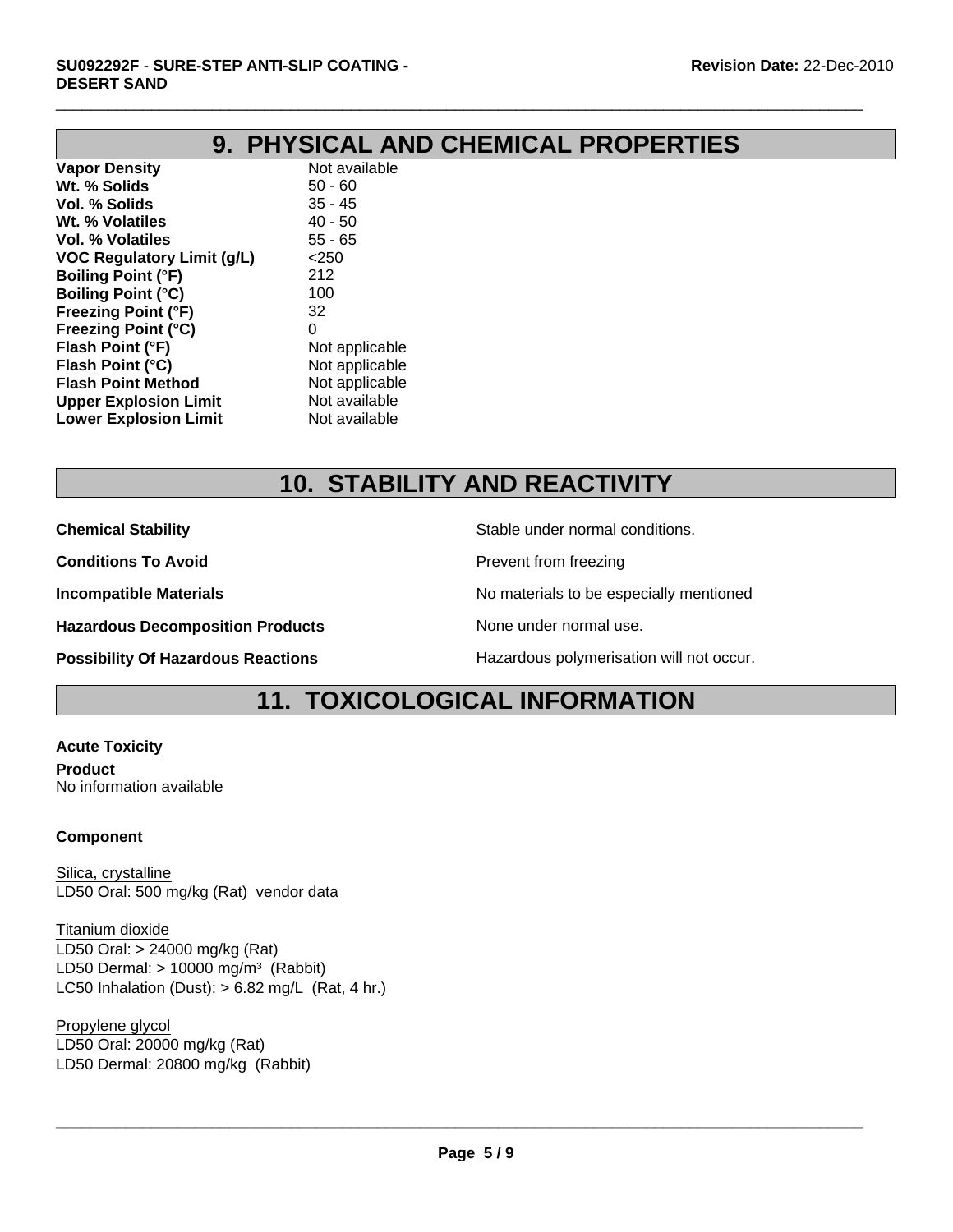# **9. PHYSICAL AND CHEMICAL PROPERTIES**

 $\Box$ 

**Vapor Density** Not available **Wt. % Solids** 50 - 60 **Vol. % Solids** 35 - 45 **Wt. % Volatiles** 40 - 50 **Vol. % Volatiles** 55 - 65 **VOC Regulatory Limit (g/L)** <250 **Boiling Point (°F)** 212 **Boiling Point (°C)** 100 **Freezing Point (°F)** 32 **Freezing Point (°C)** 0 **Flash Point (°F)** Not applicable **Flash Point (°C)** Not applicable **Flash Point Method** Not applicable **Upper Explosion Limit** Not available **Lower Explosion Limit** Not available

# **10. STABILITY AND REACTIVITY**

**Chemical Stability Stability** Stable under normal conditions.

**Conditions To Avoid Prevent from freezing** 

**Hazardous Decomposition Products** None under normal use.

**Incompatible Materials No materials** No materials to be especially mentioned

**Possibility Of Hazardous Reactions Hazardous polymerisation will not occur.** 

### **11. TOXICOLOGICAL INFORMATION**

**Acute Toxicity Product** No information available

### **Component**

Silica, crystalline LD50 Oral: 500 mg/kg (Rat) vendor data

Titanium dioxide LD50 Oral: > 24000 mg/kg (Rat) LD50 Dermal:  $> 10000$  mg/m<sup>3</sup> (Rabbit) LC50 Inhalation (Dust):  $> 6.82$  mg/L (Rat, 4 hr.)

Propylene glycol LD50 Oral: 20000 mg/kg (Rat) LD50 Dermal: 20800 mg/kg (Rabbit)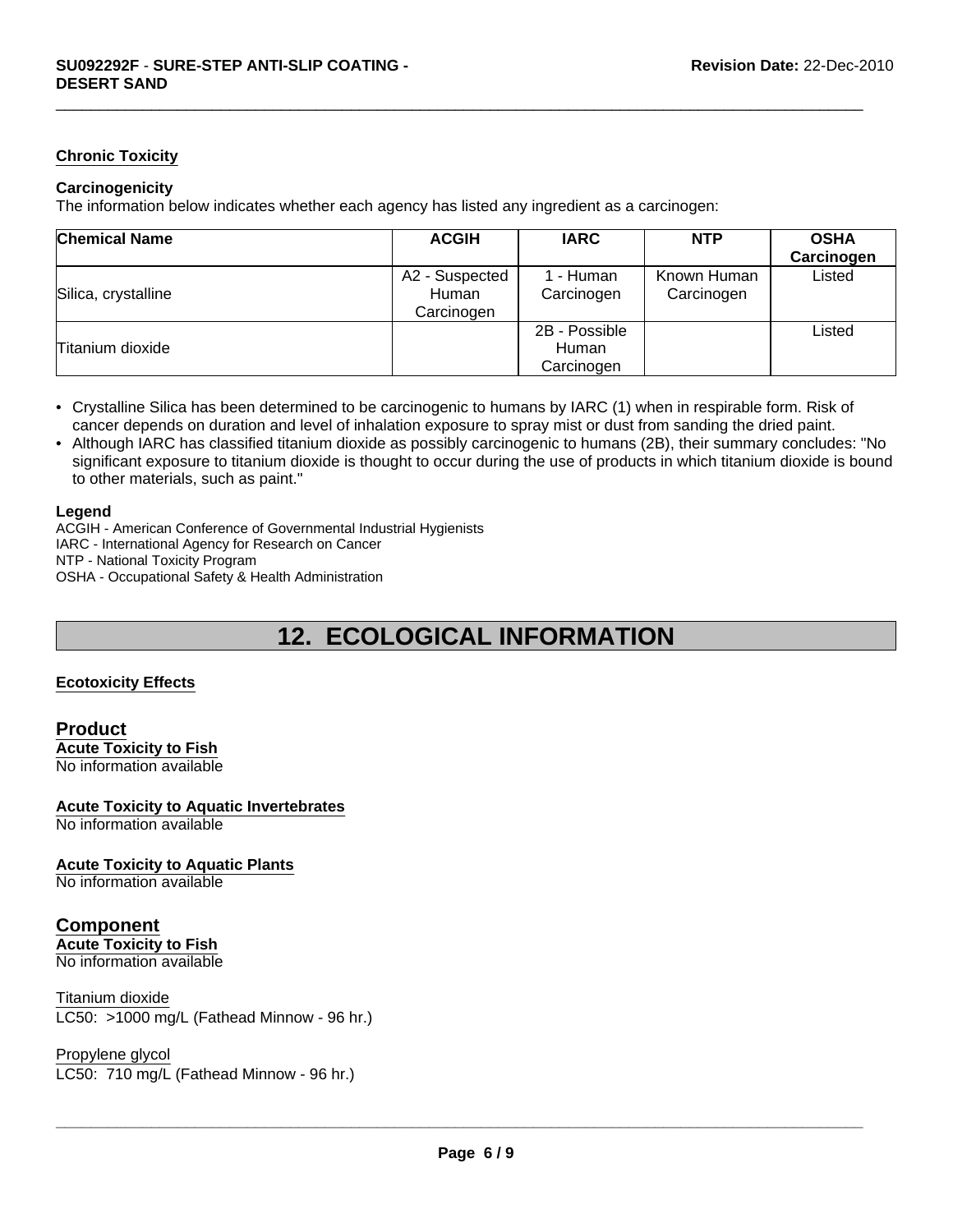#### **Chronic Toxicity**

#### **Carcinogenicity**

The information below indicates whether each agency has listed any ingredient as a carcinogen:

| <b>Chemical Name</b> | <b>ACGIH</b>                          | <b>IARC</b>                          | <b>NTP</b>                | <b>OSHA</b><br>Carcinogen |
|----------------------|---------------------------------------|--------------------------------------|---------------------------|---------------------------|
| Silica, crystalline  | A2 - Suspected<br>Human<br>Carcinogen | - Human<br>Carcinogen                | Known Human<br>Carcinogen | Listed                    |
| Titanium dioxide     |                                       | 2B - Possible<br>Human<br>Carcinogen |                           | Listed                    |

 $\Box$ 

- Crystalline Silica has been determined to be carcinogenic to humans by IARC (1) when in respirable form. Risk of cancer depends on duration and level of inhalation exposure to spray mist or dust from sanding the dried paint.
- Although IARC has classified titanium dioxide as possibly carcinogenic to humans (2B), their summary concludes: "No significant exposure to titanium dioxide is thought to occur during the use of products in which titanium dioxide is bound to other materials, such as paint."

#### **Legend**

ACGIH - American Conference of Governmental Industrial Hygienists IARC - International Agency for Research on Cancer NTP - National Toxicity Program OSHA - Occupational Safety & Health Administration

# **12. ECOLOGICAL INFORMATION**

#### **Ecotoxicity Effects**

#### **Product Acute Toxicity to Fish** No information available

#### **Acute Toxicity to Aquatic Invertebrates** No information available

**Acute Toxicity to Aquatic Plants**

No information available

### **Component**

**Acute Toxicity to Fish** No information available

LC50: >1000 mg/L (Fathead Minnow - 96 hr.) Titanium dioxide

Propylene glycol LC50: 710 mg/L (Fathead Minnow - 96 hr.)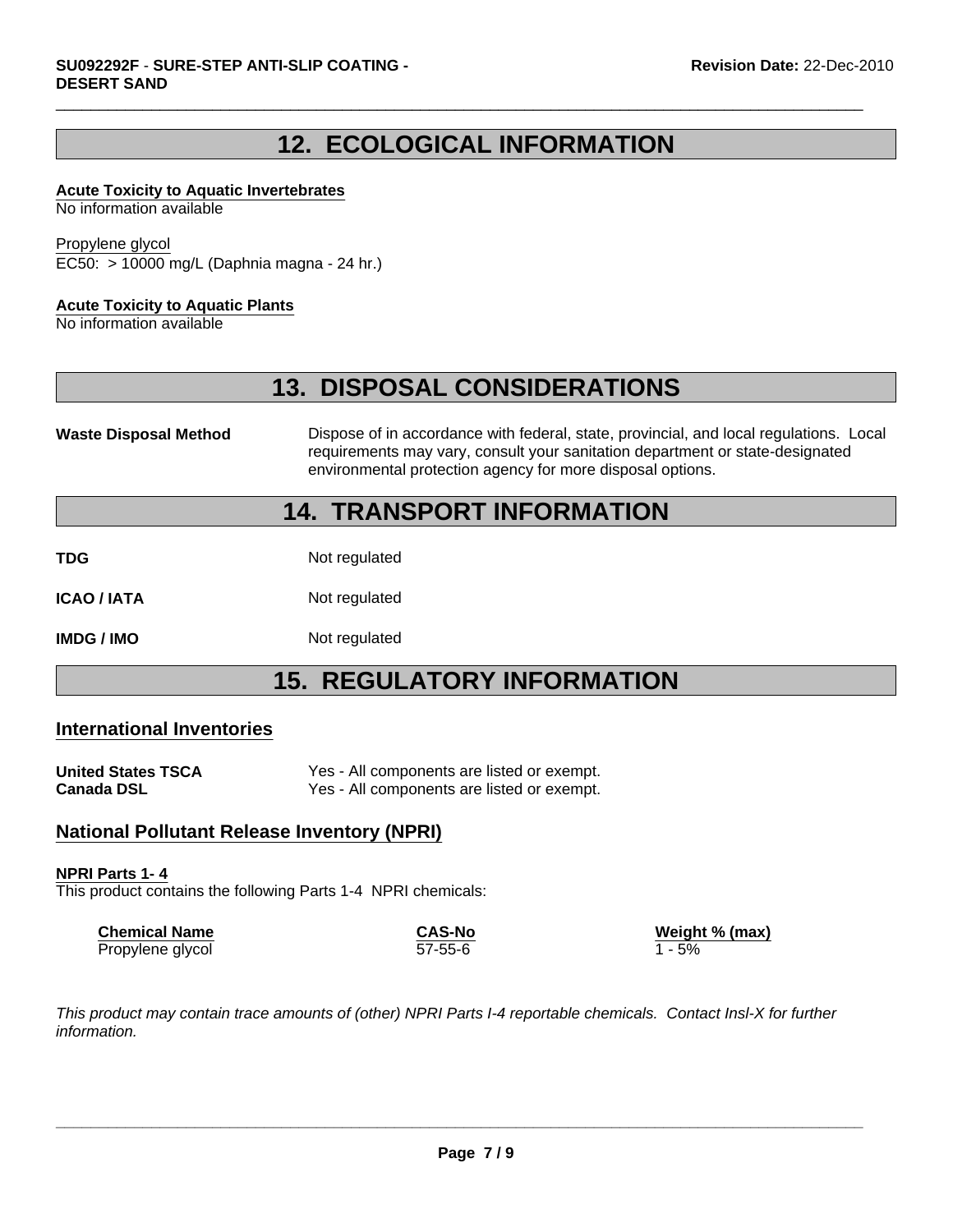### **12. ECOLOGICAL INFORMATION**

 $\Box$ 

#### **Acute Toxicity to Aquatic Invertebrates**

No information available

#### Propylene glycol

EC50: > 10000 mg/L (Daphnia magna - 24 hr.)

#### **Acute Toxicity to Aquatic Plants**

No information available

### **13. DISPOSAL CONSIDERATIONS**

**Waste Disposal Method** Dispose of in accordance with federal, state, provincial, and local regulations. Local requirements may vary, consult your sanitation department or state-designated environmental protection agency for more disposal options.

### **14. TRANSPORT INFORMATION**

**TDG** Not regulated

**ICAO / IATA** Not regulated

**IMDG / IMO** Not regulated

### **15. REGULATORY INFORMATION**

#### **International Inventories**

| <b>United States TSCA</b> | Yes - All components are listed or exempt. |
|---------------------------|--------------------------------------------|
| <b>Canada DSL</b>         | Yes - All components are listed or exempt. |

### **National Pollutant Release Inventory (NPRI)**

#### **NPRI Parts 1- 4**

This product contains the following Parts 1-4 NPRI chemicals:

| <b>Chemical Name</b> | <b>CAS-No</b> | Weight % (max) |
|----------------------|---------------|----------------|
| Propylene glycol     | $57 - 55 - 6$ | 1 - 5%         |

*This product may contain trace amounts of (other) NPRI Parts I-4 reportable chemicals. Contact Insl-X for further information.*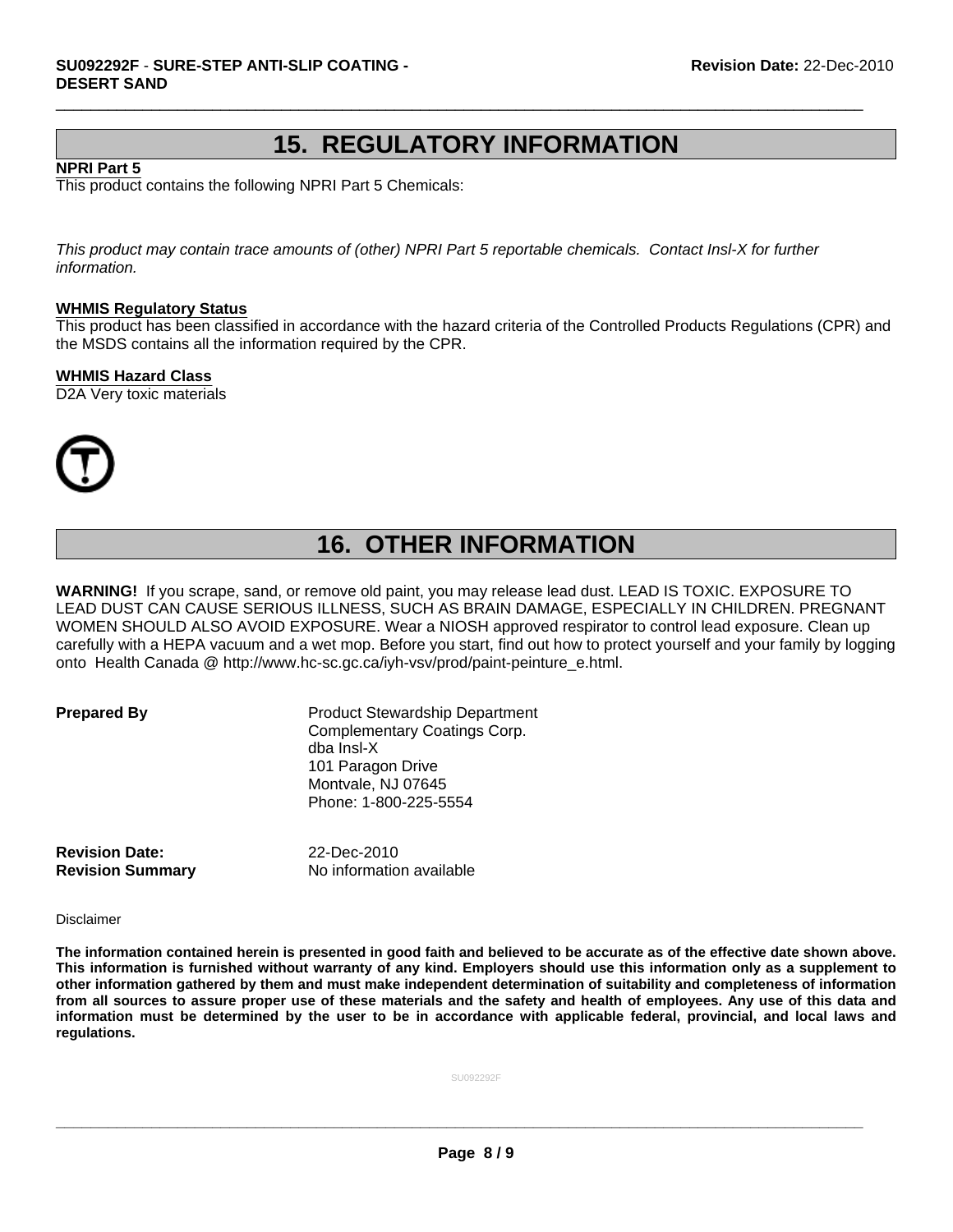### **15. REGULATORY INFORMATION**

 $\Box$ 

#### **NPRI Part 5**

This product contains the following NPRI Part 5 Chemicals:

*This product may contain trace amounts of (other) NPRI Part 5 reportable chemicals. Contact Insl-X for further information.*

#### **WHMIS Regulatory Status**

This product has been classified in accordance with the hazard criteria of the Controlled Products Regulations (CPR) and the MSDS contains all the information required by the CPR.

#### **WHMIS Hazard Class**

D2A Very toxic materials



## **16. OTHER INFORMATION**

**WARNING!** If you scrape, sand, or remove old paint, you may release lead dust. LEAD IS TOXIC. EXPOSURE TO LEAD DUST CAN CAUSE SERIOUS ILLNESS, SUCH AS BRAIN DAMAGE, ESPECIALLY IN CHILDREN. PREGNANT WOMEN SHOULD ALSO AVOID EXPOSURE. Wear a NIOSH approved respirator to control lead exposure. Clean up carefully with a HEPA vacuum and a wet mop. Before you start, find out how to protect yourself and your family by logging onto Health Canada @ http://www.hc-sc.gc.ca/iyh-vsv/prod/paint-peinture\_e.html.

**Prepared By** Product Stewardship Department Complementary Coatings Corp. dba Insl-X 101 Paragon Drive Montvale, NJ 07645 Phone: 1-800-225-5554

**Revision Date:** 22-Dec-2010

**Revision Summary** No information available

Disclaimer

**The information contained herein is presented in good faith and believed to be accurate as of the effective date shown above. This information is furnished without warranty of any kind. Employers should use this information only as a supplement to other information gathered by them and must make independent determination of suitability and completeness of information from all sources to assure proper use of these materials and the safety and health of employees. Any use of this data and information must be determined by the user to be in accordance with applicable federal, provincial, and local laws and regulations.**

SU092292F